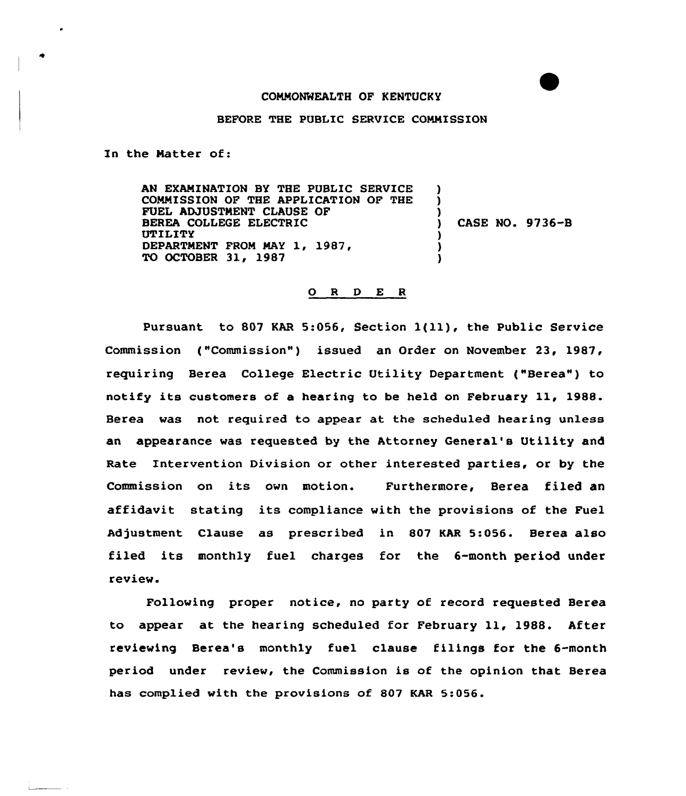## COMMONWEALTH OF KENTUCKY

## BEFORE THE PUBLIC SERVICE COMMISSION

In the Matter of:

AN EXAMINATION BY THE PUBLIC SERVICE COMMISSION OF THE APPLICATION OF THE FUEL ADJUSTMENT CLAUSE OF BEREA COLLEGE ELECTRIC UTILITY DEPARTMENT FROM MAY 1, 1987, TO OCTOBER 31, 1987 ) ) ) ) CASE NO. 9736-B ) ) )

## 0 <sup>R</sup> <sup>D</sup> E <sup>R</sup>

Pursuant to <sup>807</sup> KAR 5:056, Section 1{ll), the Public Service Commission ("Commission") issued an Order on November 23, 1987, requiring Berea College Electric Utility Department ("Berea") to notify its customers af <sup>a</sup> hearing to be held on February ll, 1988. Berea was not required to appear at the scheduled hearing unless an appearance was requested by the Attorney General's Utility and Rate Intervention Division or other interested parties, or by the Commission on its awn motion. Furthermore, Berea filed an affidavit stating its compliance with the provisions of the Fuel Adjustment Clause as prescribed in 807 KAR 5:056. Berea also filed its monthly fuel charges for the 6-month period under review.

Following proper notice, no party of record requested Berea to appear at the hearing scheduled for February ll, 1988. After reviewing Berea's monthly fuel clause filings for the 6-month period under review, the Cammission is of the opinion that Berea has complied with the provisions of 807 KAR 5:056.